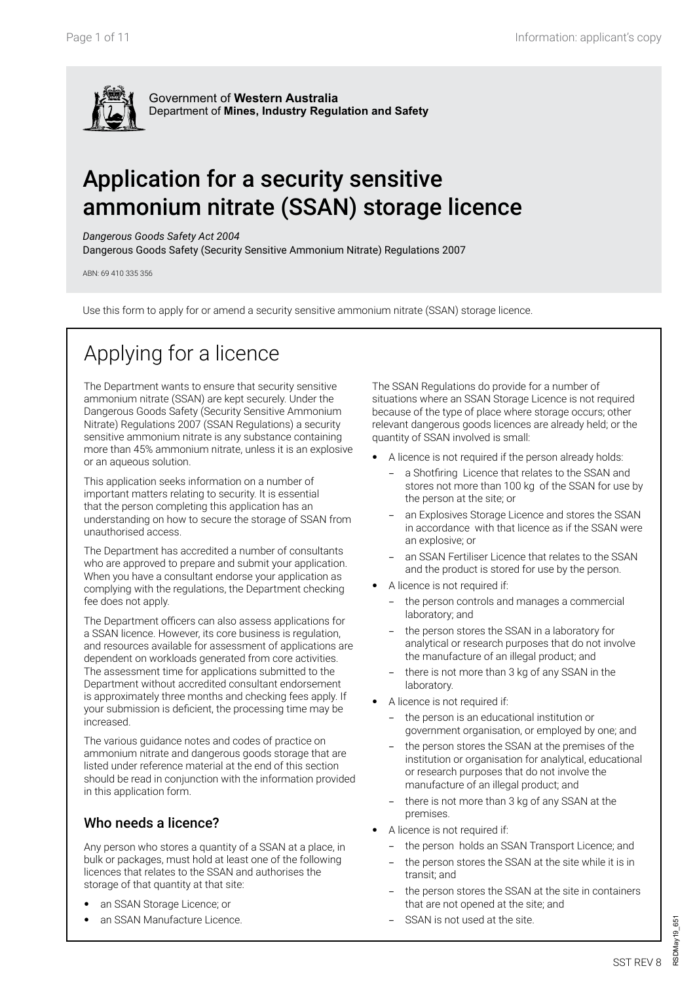

Government of **Western Australia** Department of **Mines, Industry Regulation and Safety**

# Application for a security sensitive ammonium nitrate (SSAN) storage licence

#### *Dangerous Goods Safety Act 2004*

Dangerous Goods Safety (Security Sensitive Ammonium Nitrate) Regulations 2007

ABN: 69 410 335 356

Use this form to apply for or amend a security sensitive ammonium nitrate (SSAN) storage licence.

# Applying for a licence

The Department wants to ensure that security sensitive ammonium nitrate (SSAN) are kept securely. Under the Dangerous Goods Safety (Security Sensitive Ammonium Nitrate) Regulations 2007 (SSAN Regulations) a security sensitive ammonium nitrate is any substance containing more than 45% ammonium nitrate, unless it is an explosive or an aqueous solution.

This application seeks information on a number of important matters relating to security. It is essential that the person completing this application has an understanding on how to secure the storage of SSAN from unauthorised access.

The Department has accredited a number of consultants who are approved to prepare and submit your application. When you have a consultant endorse your application as complying with the regulations, the Department checking fee does not apply.

The Department officers can also assess applications for a SSAN licence. However, its core business is regulation, and resources available for assessment of applications are dependent on workloads generated from core activities. The assessment time for applications submitted to the Department without accredited consultant endorsement is approximately three months and checking fees apply. If your submission is deficient, the processing time may be increased.

The various guidance notes and codes of practice on ammonium nitrate and dangerous goods storage that are listed under reference material at the end of this section should be read in conjunction with the information provided in this application form.

## Who needs a licence?

Any person who stores a quantity of a SSAN at a place, in bulk or packages, must hold at least one of the following licences that relates to the SSAN and authorises the storage of that quantity at that site:

- an SSAN Storage Licence; or
- an SSAN Manufacture Licence.

The SSAN Regulations do provide for a number of situations where an SSAN Storage Licence is not required because of the type of place where storage occurs; other relevant dangerous goods licences are already held; or the quantity of SSAN involved is small:

- A licence is not required if the person already holds:
	- a Shotfiring Licence that relates to the SSAN and stores not more than 100 kg of the SSAN for use by the person at the site; or
	- an Explosives Storage Licence and stores the SSAN in accordance with that licence as if the SSAN were an explosive; or
	- an SSAN Fertiliser Licence that relates to the SSAN and the product is stored for use by the person.
- A licence is not required if:
	- the person controls and manages a commercial laboratory; and
	- the person stores the SSAN in a laboratory for analytical or research purposes that do not involve the manufacture of an illegal product; and
	- there is not more than 3 kg of any SSAN in the laboratory.
- A licence is not required if:
	- the person is an educational institution or government organisation, or employed by one; and
	- the person stores the SSAN at the premises of the institution or organisation for analytical, educational or research purposes that do not involve the manufacture of an illegal product; and
	- there is not more than 3 kg of any SSAN at the premises.
- A licence is not required if:
	- − the person holds an SSAN Transport Licence; and
	- the person stores the SSAN at the site while it is in transit; and
	- the person stores the SSAN at the site in containers that are not opened at the site; and
	- SSAN is not used at the site.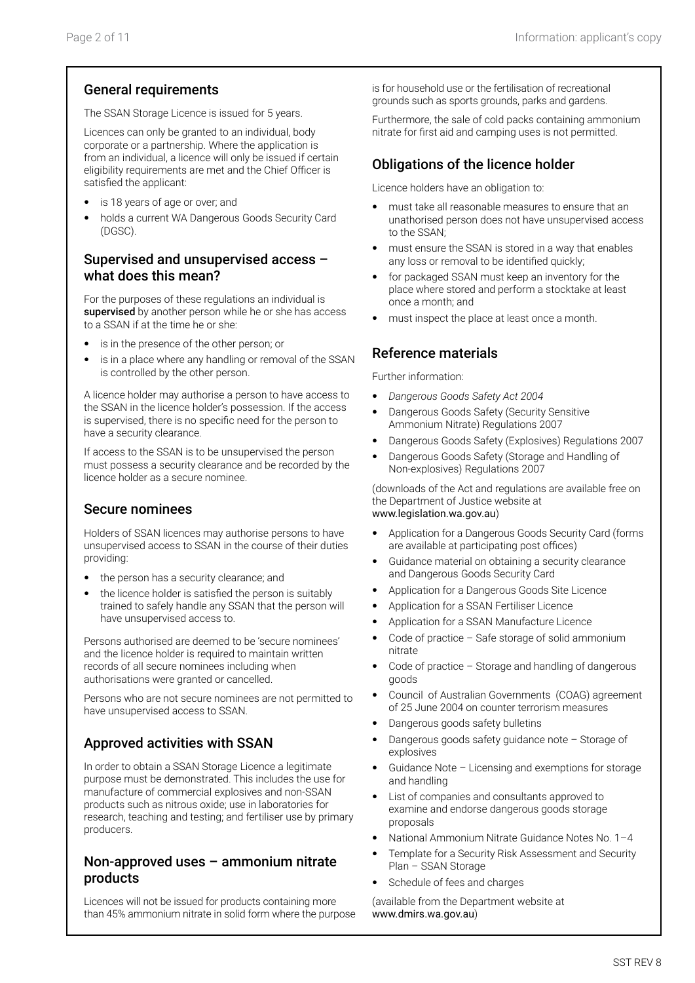### General requirements

The SSAN Storage Licence is issued for 5 years.

Licences can only be granted to an individual, body corporate or a partnership. Where the application is from an individual, a licence will only be issued if certain eligibility requirements are met and the Chief Officer is satisfied the applicant:

- is 18 years of age or over; and
- holds a current WA Dangerous Goods Security Card (DGSC).

### Supervised and unsupervised access – what does this mean?

For the purposes of these regulations an individual is supervised by another person while he or she has access to a SSAN if at the time he or she:

- is in the presence of the other person; or
- is in a place where any handling or removal of the SSAN is controlled by the other person.

A licence holder may authorise a person to have access to the SSAN in the licence holder's possession. If the access is supervised, there is no specific need for the person to have a security clearance.

If access to the SSAN is to be unsupervised the person must possess a security clearance and be recorded by the licence holder as a secure nominee.

#### Secure nominees

Holders of SSAN licences may authorise persons to have unsupervised access to SSAN in the course of their duties providing:

- the person has a security clearance; and
- the licence holder is satisfied the person is suitably trained to safely handle any SSAN that the person will have unsupervised access to.

Persons authorised are deemed to be 'secure nominees' and the licence holder is required to maintain written records of all secure nominees including when authorisations were granted or cancelled.

Persons who are not secure nominees are not permitted to have unsupervised access to SSAN.

## Approved activities with SSAN

In order to obtain a SSAN Storage Licence a legitimate purpose must be demonstrated. This includes the use for manufacture of commercial explosives and non-SSAN products such as nitrous oxide; use in laboratories for research, teaching and testing; and fertiliser use by primary producers.

### Non-approved uses – ammonium nitrate products

Licences will not be issued for products containing more than 45% ammonium nitrate in solid form where the purpose is for household use or the fertilisation of recreational grounds such as sports grounds, parks and gardens.

Furthermore, the sale of cold packs containing ammonium nitrate for first aid and camping uses is not permitted.

### Obligations of the licence holder

Licence holders have an obligation to:

- must take all reasonable measures to ensure that an unathorised person does not have unsupervised access to the SSAN;
- must ensure the SSAN is stored in a way that enables any loss or removal to be identified quickly;
- for packaged SSAN must keep an inventory for the place where stored and perform a stocktake at least once a month; and
- must inspect the place at least once a month.

### Reference materials

Further information:

- *Dangerous Goods Safety Act 2004*
- Dangerous Goods Safety (Security Sensitive Ammonium Nitrate) Regulations 2007
- Dangerous Goods Safety (Explosives) Regulations 2007
- Dangerous Goods Safety (Storage and Handling of Non-explosives) Regulations 2007

(downloads of the Act and regulations are available free on the Department of Justice website at www.legislation.wa.gov.au)

- Application for a Dangerous Goods Security Card (forms are available at participating post offices)
- Guidance material on obtaining a security clearance and Dangerous Goods Security Card
- Application for a Dangerous Goods Site Licence
- Application for a SSAN Fertiliser Licence
- Application for a SSAN Manufacture Licence
- Code of practice  $-$  Safe storage of solid ammonium nitrate
- Code of practice Storage and handling of dangerous goods
- Council of Australian Governments (COAG) agreement of 25 June 2004 on counter terrorism measures
- Dangerous goods safety bulletins
- Dangerous goods safety guidance note Storage of explosives
- Guidance Note Licensing and exemptions for storage and handling
- List of companies and consultants approved to examine and endorse dangerous goods storage proposals
- National Ammonium Nitrate Guidance Notes No. 1–4
- Template for a Security Risk Assessment and Security Plan – SSAN Storage
- Schedule of fees and charges

(available from the Department website at www.dmirs.wa.gov.au)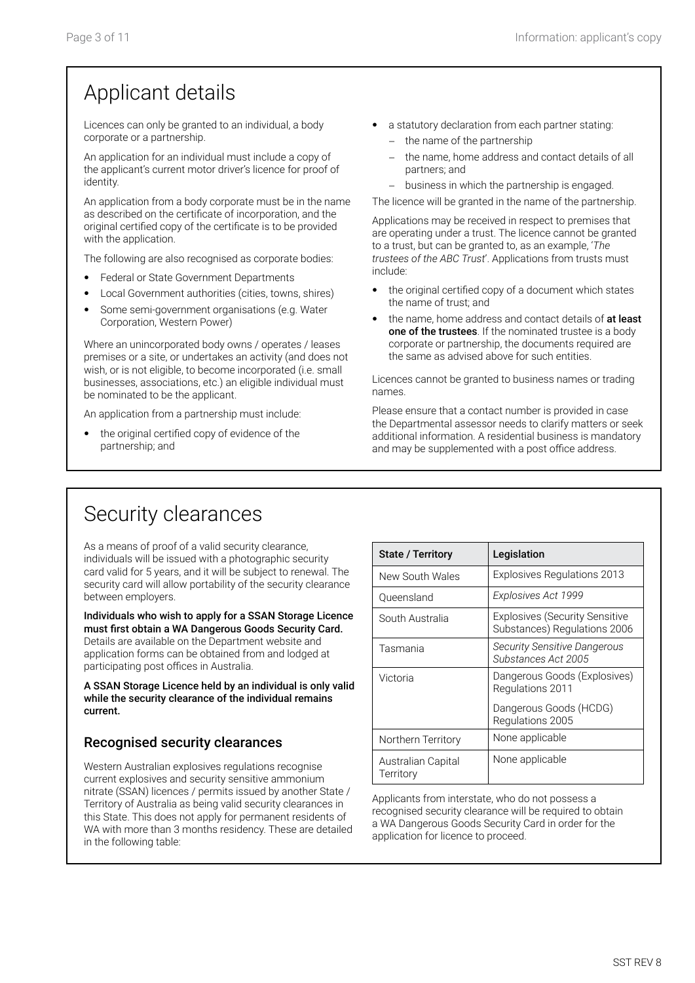# Applicant details

Licences can only be granted to an individual, a body corporate or a partnership.

An application for an individual must include a copy of the applicant's current motor driver's licence for proof of identity.

An application from a body corporate must be in the name as described on the certificate of incorporation, and the original certified copy of the certificate is to be provided with the application.

The following are also recognised as corporate bodies:

- Federal or State Government Departments
- Local Government authorities (cities, towns, shires)
- Some semi-government organisations (e.g. Water Corporation, Western Power)

Where an unincorporated body owns / operates / leases premises or a site, or undertakes an activity (and does not wish, or is not eligible, to become incorporated (i.e. small businesses, associations, etc.) an eligible individual must be nominated to be the applicant.

An application from a partnership must include:

the original certified copy of evidence of the partnership; and

- a statutory declaration from each partner stating: − the name of the partnership
	- the name, home address and contact details of all
	- partners; and − business in which the partnership is engaged.

The licence will be granted in the name of the partnership.

Applications may be received in respect to premises that are operating under a trust. The licence cannot be granted to a trust, but can be granted to, as an example, '*The trustees of the ABC Trust*'. Applications from trusts must include:

- the original certified copy of a document which states the name of trust; and
- the name, home address and contact details of at least one of the trustees. If the nominated trustee is a body corporate or partnership, the documents required are the same as advised above for such entities.

Licences cannot be granted to business names or trading names.

Please ensure that a contact number is provided in case the Departmental assessor needs to clarify matters or seek additional information. A residential business is mandatory and may be supplemented with a post office address.

# Security clearances

As a means of proof of a valid security clearance, individuals will be issued with a photographic security card valid for 5 years, and it will be subject to renewal. The security card will allow portability of the security clearance between employers.

Individuals who wish to apply for a SSAN Storage Licence must first obtain a WA Dangerous Goods Security Card. Details are available on the Department website and application forms can be obtained from and lodged at participating post offices in Australia.

A SSAN Storage Licence held by an individual is only valid while the security clearance of the individual remains current.

## Recognised security clearances

Western Australian explosives regulations recognise current explosives and security sensitive ammonium nitrate (SSAN) licences / permits issued by another State / Territory of Australia as being valid security clearances in this State. This does not apply for permanent residents of WA with more than 3 months residency. These are detailed in the following table:

| State / Territory               | Legislation                                                           |
|---------------------------------|-----------------------------------------------------------------------|
| New South Wales                 | Explosives Regulations 2013                                           |
| Queensland                      | Explosives Act 1999                                                   |
| South Australia                 | <b>Explosives (Security Sensitive</b><br>Substances) Regulations 2006 |
| Tasmania                        | <b>Security Sensitive Dangerous</b><br>Substances Act 2005            |
| Victoria                        | Dangerous Goods (Explosives)<br>Regulations 2011                      |
|                                 | Dangerous Goods (HCDG)<br>Regulations 2005                            |
| Northern Territory              | None applicable                                                       |
| Australian Capital<br>Territory | None applicable                                                       |

Applicants from interstate, who do not possess a recognised security clearance will be required to obtain a WA Dangerous Goods Security Card in order for the application for licence to proceed.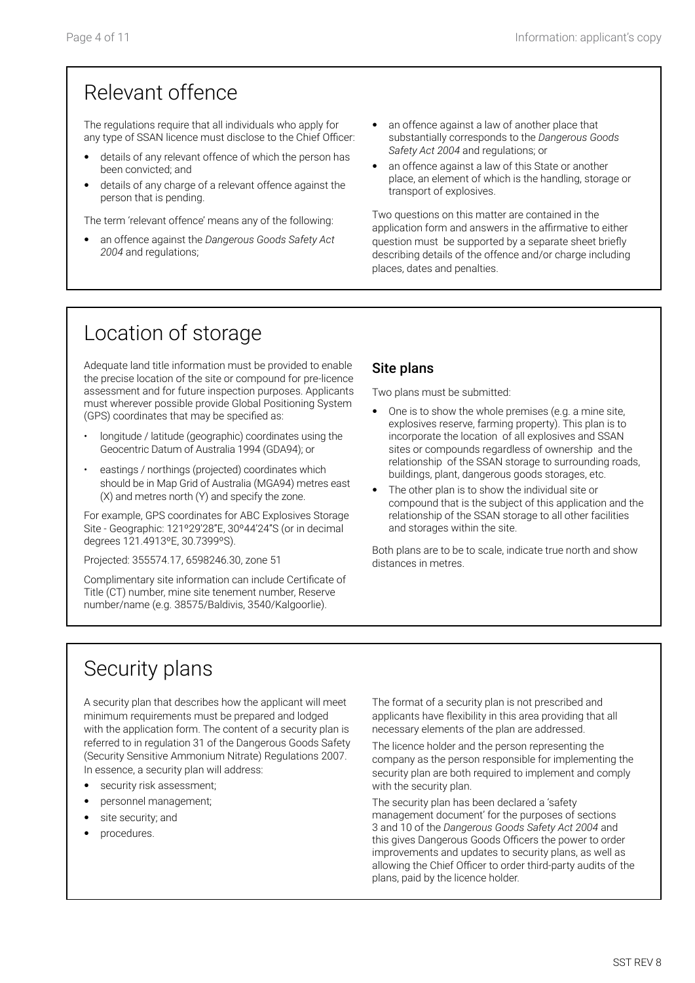# Relevant offence

The regulations require that all individuals who apply for any type of SSAN licence must disclose to the Chief Officer:

- details of any relevant offence of which the person has been convicted; and
- details of any charge of a relevant offence against the person that is pending.

The term 'relevant offence' means any of the following:

- an offence against the *Dangerous Goods Safety Act 2004* and regulations;
- an offence against a law of another place that substantially corresponds to the *Dangerous Goods Safety Act 2004* and regulations; or
- an offence against a law of this State or another place, an element of which is the handling, storage or transport of explosives.

Two questions on this matter are contained in the application form and answers in the affirmative to either question must be supported by a separate sheet briefly describing details of the offence and/or charge including places, dates and penalties.

# Location of storage

Adequate land title information must be provided to enable the precise location of the site or compound for pre-licence assessment and for future inspection purposes. Applicants must wherever possible provide Global Positioning System (GPS) coordinates that may be specified as:

- longitude / latitude (geographic) coordinates using the Geocentric Datum of Australia 1994 (GDA94); or
- eastings / northings (projected) coordinates which should be in Map Grid of Australia (MGA94) metres east (X) and metres north (Y) and specify the zone.

For example, GPS coordinates for ABC Explosives Storage Site - Geographic: 121º29'28"E, 30º44'24"S (or in decimal degrees 121.4913ºE, 30.7399ºS).

Projected: 355574.17, 6598246.30, zone 51

Complimentary site information can include Certificate of Title (CT) number, mine site tenement number, Reserve number/name (e.g. 38575/Baldivis, 3540/Kalgoorlie).

### Site plans

Two plans must be submitted:

- One is to show the whole premises (e.g. a mine site, explosives reserve, farming property). This plan is to incorporate the location of all explosives and SSAN sites or compounds regardless of ownership and the relationship of the SSAN storage to surrounding roads, buildings, plant, dangerous goods storages, etc.
- The other plan is to show the individual site or compound that is the subject of this application and the relationship of the SSAN storage to all other facilities and storages within the site.

Both plans are to be to scale, indicate true north and show distances in metres.

# Security plans

A security plan that describes how the applicant will meet minimum requirements must be prepared and lodged with the application form. The content of a security plan is referred to in regulation 31 of the Dangerous Goods Safety (Security Sensitive Ammonium Nitrate) Regulations 2007. In essence, a security plan will address:

- security risk assessment;
- personnel management;
- site security; and
- procedures.

The format of a security plan is not prescribed and applicants have flexibility in this area providing that all necessary elements of the plan are addressed.

The licence holder and the person representing the company as the person responsible for implementing the security plan are both required to implement and comply with the security plan.

The security plan has been declared a 'safety management document' for the purposes of sections 3 and 10 of the *Dangerous Goods Safety Act 2004* and this gives Dangerous Goods Officers the power to order improvements and updates to security plans, as well as allowing the Chief Officer to order third-party audits of the plans, paid by the licence holder.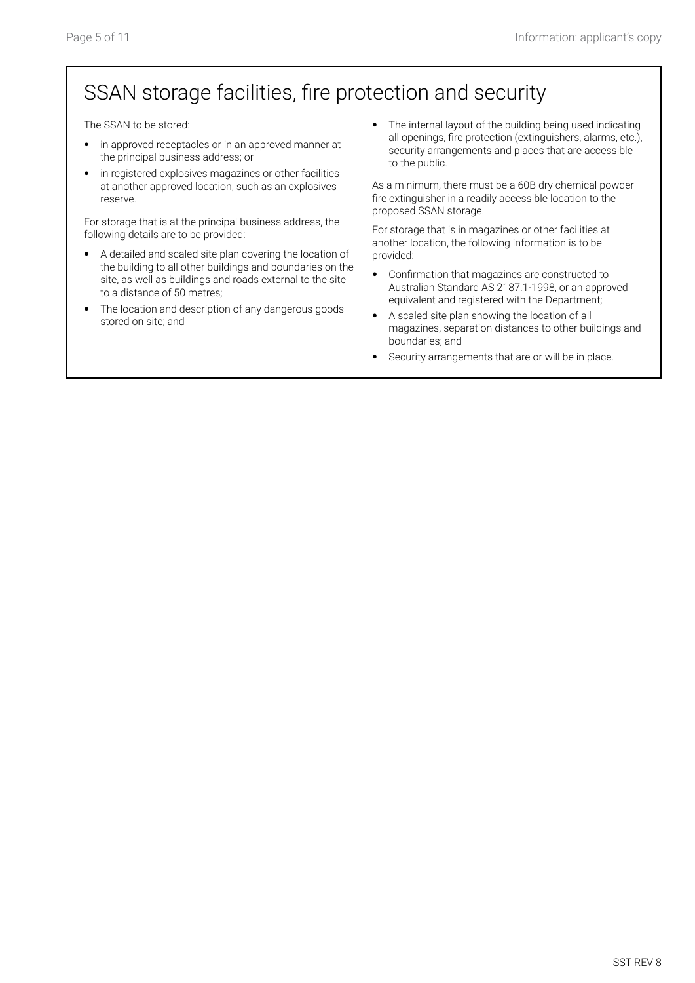# SSAN storage facilities, fire protection and security

The SSAN to be stored:

- in approved receptacles or in an approved manner at the principal business address; or
- in registered explosives magazines or other facilities at another approved location, such as an explosives reserve.

For storage that is at the principal business address, the following details are to be provided:

- A detailed and scaled site plan covering the location of the building to all other buildings and boundaries on the site, as well as buildings and roads external to the site to a distance of 50 metres;
- The location and description of any dangerous goods stored on site; and

• The internal layout of the building being used indicating all openings, fire protection (extinguishers, alarms, etc.), security arrangements and places that are accessible to the public.

As a minimum, there must be a 60B dry chemical powder fire extinguisher in a readily accessible location to the proposed SSAN storage.

For storage that is in magazines or other facilities at another location, the following information is to be provided:

- Confirmation that magazines are constructed to Australian Standard AS 2187.1-1998, or an approved equivalent and registered with the Department;
- A scaled site plan showing the location of all magazines, separation distances to other buildings and boundaries; and
- Security arrangements that are or will be in place.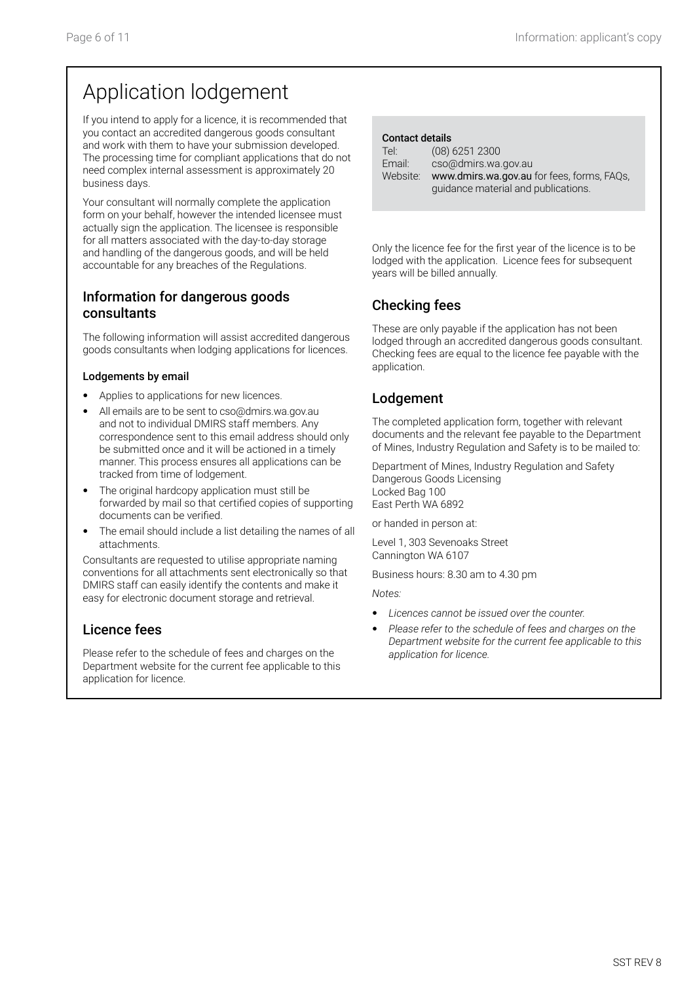# Application lodgement

If you intend to apply for a licence, it is recommended that you contact an accredited dangerous goods consultant and work with them to have your submission developed. The processing time for compliant applications that do not need complex internal assessment is approximately 20 business days.

Your consultant will normally complete the application form on your behalf, however the intended licensee must actually sign the application. The licensee is responsible for all matters associated with the day-to-day storage and handling of the dangerous goods, and will be held accountable for any breaches of the Regulations.

### Information for dangerous goods consultants

The following information will assist accredited dangerous goods consultants when lodging applications for licences.

#### Lodgements by email

- Applies to applications for new licences.
- All emails are to be sent to cso@dmirs.wa.gov.au and not to individual DMIRS staff members. Any correspondence sent to this email address should only be submitted once and it will be actioned in a timely manner. This process ensures all applications can be tracked from time of lodgement.
- The original hardcopy application must still be forwarded by mail so that certified copies of supporting documents can be verified.
- The email should include a list detailing the names of all attachments.

Consultants are requested to utilise appropriate naming conventions for all attachments sent electronically so that DMIRS staff can easily identify the contents and make it easy for electronic document storage and retrieval.

## Licence fees

Please refer to the schedule of fees and charges on the Department website for the current fee applicable to this application for licence.

#### Contact details

| Tel:     | $(08)$ 6251 2300                           |
|----------|--------------------------------------------|
| Email:   | cso@dmirs.wa.gov.au                        |
| Website: | www.dmirs.wa.gov.au for fees, forms, FAQs, |
|          | guidance material and publications.        |

Only the licence fee for the first year of the licence is to be lodged with the application. Licence fees for subsequent years will be billed annually.

## Checking fees

These are only payable if the application has not been lodged through an accredited dangerous goods consultant. Checking fees are equal to the licence fee payable with the application.

## Lodgement

The completed application form, together with relevant documents and the relevant fee payable to the Department of Mines, Industry Regulation and Safety is to be mailed to:

Department of Mines, Industry Regulation and Safety Dangerous Goods Licensing Locked Bag 100 East Perth WA 6892

or handed in person at:

Level 1, 303 Sevenoaks Street Cannington WA 6107

Business hours: 8.30 am to 4.30 pm

*Notes:*

- *Licences cannot be issued over the counter.*
- *Please refer to the schedule of fees and charges on the Department website for the current fee applicable to this application for licence.*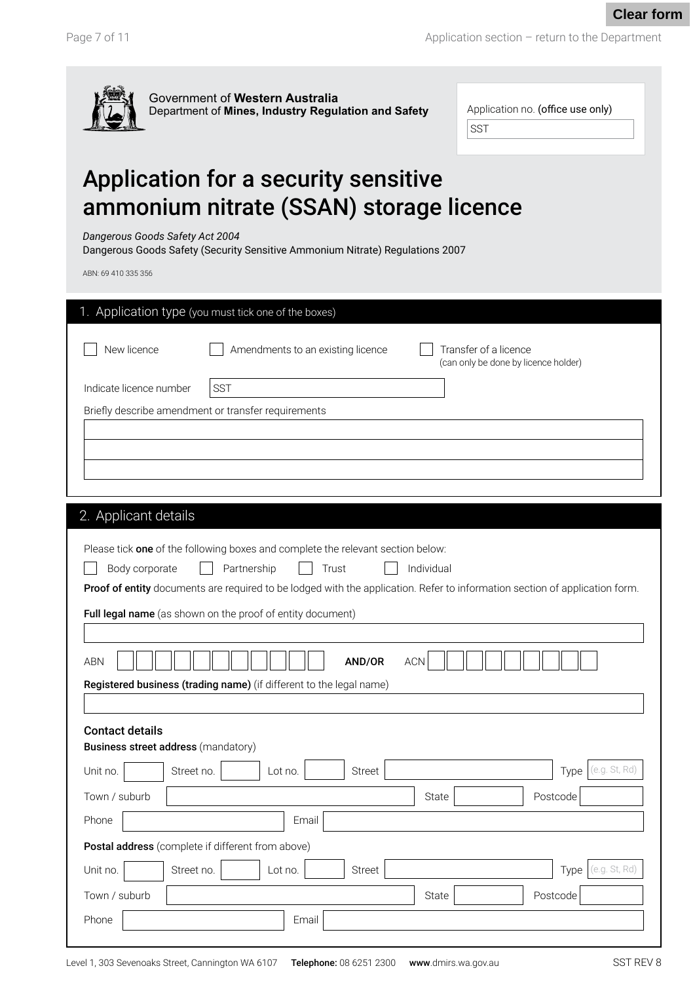**Clear form**



| Application no. (office use only) |
|-----------------------------------|
| <b>SST</b>                        |

# Application for a security sensitive ammonium nitrate (SSAN) storage licence

*Dangerous Goods Safety Act 2004*

Dangerous Goods Safety (Security Sensitive Ammonium Nitrate) Regulations 2007

ABN: 69 410 335 356

|                         | 1. Application type (you must tick one of the boxes)                                                                                                              |  |  |  |  |  |
|-------------------------|-------------------------------------------------------------------------------------------------------------------------------------------------------------------|--|--|--|--|--|
| New licence             | Amendments to an existing licence<br>Transfer of a licence<br>(can only be done by licence holder)                                                                |  |  |  |  |  |
| Indicate licence number | SST                                                                                                                                                               |  |  |  |  |  |
|                         | Briefly describe amendment or transfer requirements                                                                                                               |  |  |  |  |  |
|                         |                                                                                                                                                                   |  |  |  |  |  |
|                         |                                                                                                                                                                   |  |  |  |  |  |
|                         |                                                                                                                                                                   |  |  |  |  |  |
| 2. Applicant details    |                                                                                                                                                                   |  |  |  |  |  |
|                         |                                                                                                                                                                   |  |  |  |  |  |
|                         | Please tick one of the following boxes and complete the relevant section below:                                                                                   |  |  |  |  |  |
| Body corporate          | Partnership<br>Trust<br>Individual<br>Proof of entity documents are required to be lodged with the application. Refer to information section of application form. |  |  |  |  |  |
|                         |                                                                                                                                                                   |  |  |  |  |  |
|                         | Full legal name (as shown on the proof of entity document)                                                                                                        |  |  |  |  |  |
|                         |                                                                                                                                                                   |  |  |  |  |  |
| <b>ABN</b>              | ACN<br>AND/OR                                                                                                                                                     |  |  |  |  |  |
|                         | Registered business (trading name) (if different to the legal name)                                                                                               |  |  |  |  |  |
|                         |                                                                                                                                                                   |  |  |  |  |  |
| <b>Contact details</b>  |                                                                                                                                                                   |  |  |  |  |  |
|                         | <b>Business street address (mandatory)</b>                                                                                                                        |  |  |  |  |  |
| Unit no.                | (e.g. St, Rd)<br>Street no.<br><b>Street</b><br>Type<br>Lot no.                                                                                                   |  |  |  |  |  |
| Town / suburb           | State<br>Postcode                                                                                                                                                 |  |  |  |  |  |
| Phone                   | Email                                                                                                                                                             |  |  |  |  |  |
|                         | Postal address (complete if different from above)                                                                                                                 |  |  |  |  |  |
| Unit no.                | (e.g. St. Rd)<br>Lot no.<br>Street no.<br>Street<br>Type                                                                                                          |  |  |  |  |  |
| Town / suburb           | Postcode<br>State                                                                                                                                                 |  |  |  |  |  |
| Phone                   | Email                                                                                                                                                             |  |  |  |  |  |
|                         |                                                                                                                                                                   |  |  |  |  |  |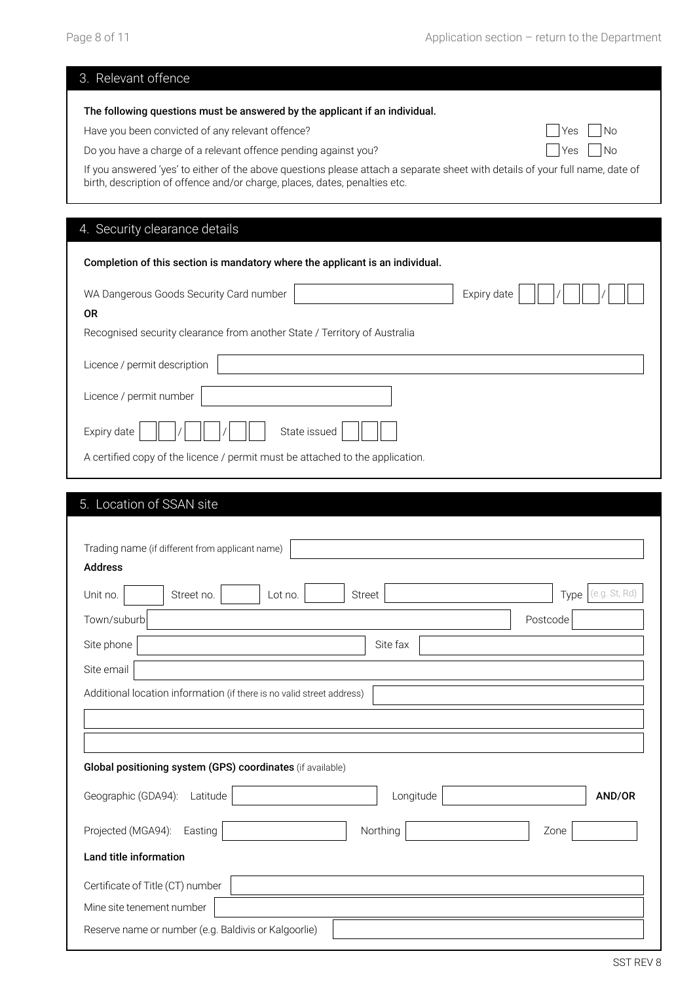| 3. Relevant offence                                                                                                                                                                                                                                                                                                                                                                                                                                |
|----------------------------------------------------------------------------------------------------------------------------------------------------------------------------------------------------------------------------------------------------------------------------------------------------------------------------------------------------------------------------------------------------------------------------------------------------|
| The following questions must be answered by the applicant if an individual.<br>Have you been convicted of any relevant offence?<br><b>No</b><br>Yes<br>Do you have a charge of a relevant offence pending against you?<br>No<br>Yes<br>If you answered 'yes' to either of the above questions please attach a separate sheet with details of your full name, date of<br>birth, description of offence and/or charge, places, dates, penalties etc. |
| 4. Security clearance details                                                                                                                                                                                                                                                                                                                                                                                                                      |
| Completion of this section is mandatory where the applicant is an individual.                                                                                                                                                                                                                                                                                                                                                                      |
| WA Dangerous Goods Security Card number<br>Expiry date<br><b>OR</b><br>Recognised security clearance from another State / Territory of Australia                                                                                                                                                                                                                                                                                                   |
| Licence / permit description                                                                                                                                                                                                                                                                                                                                                                                                                       |
| Licence / permit number<br>Expiry date<br>State issued<br>A certified copy of the licence / permit must be attached to the application.                                                                                                                                                                                                                                                                                                            |
| 5. Location of SSAN site                                                                                                                                                                                                                                                                                                                                                                                                                           |
| Trading name (if different from applicant name)<br><b>Address</b>                                                                                                                                                                                                                                                                                                                                                                                  |
| (e.g. St, Rd)<br>Unit no.<br>Street no.<br><b>Street</b><br>Lot no.<br>Type                                                                                                                                                                                                                                                                                                                                                                        |
| Town/suburb<br>Postcode                                                                                                                                                                                                                                                                                                                                                                                                                            |
| Site phone<br>Site fax                                                                                                                                                                                                                                                                                                                                                                                                                             |
| Site email                                                                                                                                                                                                                                                                                                                                                                                                                                         |
| Additional location information (if there is no valid street address)                                                                                                                                                                                                                                                                                                                                                                              |

| Global positioning system (GPS) coordinates (if available) |        |  |  |  |  |
|------------------------------------------------------------|--------|--|--|--|--|
| Geographic (GDA94):<br>Longitude<br>Latitude               | AND/OR |  |  |  |  |
| Projected (MGA94):<br>Northing<br>Easting<br>Zone          |        |  |  |  |  |
| Land title information                                     |        |  |  |  |  |
| Certificate of Title (CT) number                           |        |  |  |  |  |
| Mine site tenement number                                  |        |  |  |  |  |
| Reserve name or number (e.g. Baldivis or Kalgoorlie)       |        |  |  |  |  |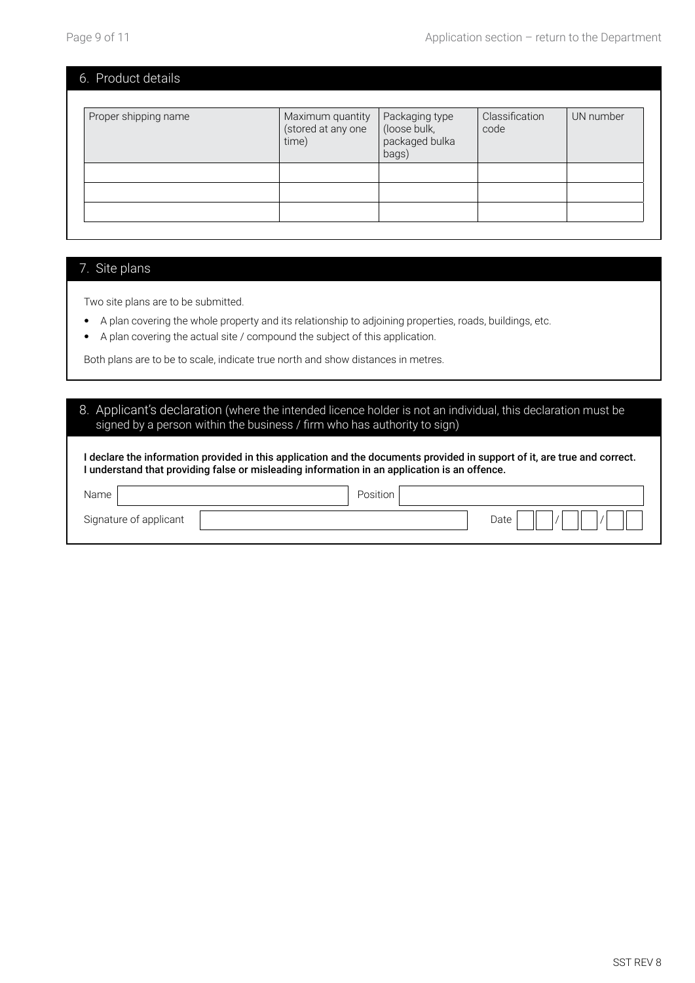| 6. Product details   |                                                 |                                                           |                        |           |
|----------------------|-------------------------------------------------|-----------------------------------------------------------|------------------------|-----------|
| Proper shipping name | Maximum quantity<br>(stored at any one<br>time) | Packaging type<br>(loose bulk,<br>packaged bulka<br>bags) | Classification<br>code | UN number |
|                      |                                                 |                                                           |                        |           |
|                      |                                                 |                                                           |                        |           |

#### 7. Site plans

Two site plans are to be submitted.

- A plan covering the whole property and its relationship to adjoining properties, roads, buildings, etc.
- A plan covering the actual site / compound the subject of this application.

Both plans are to be to scale, indicate true north and show distances in metres.

#### 8. Applicant's declaration (where the intended licence holder is not an individual, this declaration must be signed by a person within the business / firm who has authority to sign)

I declare the information provided in this application and the documents provided in support of it, are true and correct. I understand that providing false or misleading information in an application is an offence.

| Name                   | Position |      |
|------------------------|----------|------|
| Signature of applicant |          | Date |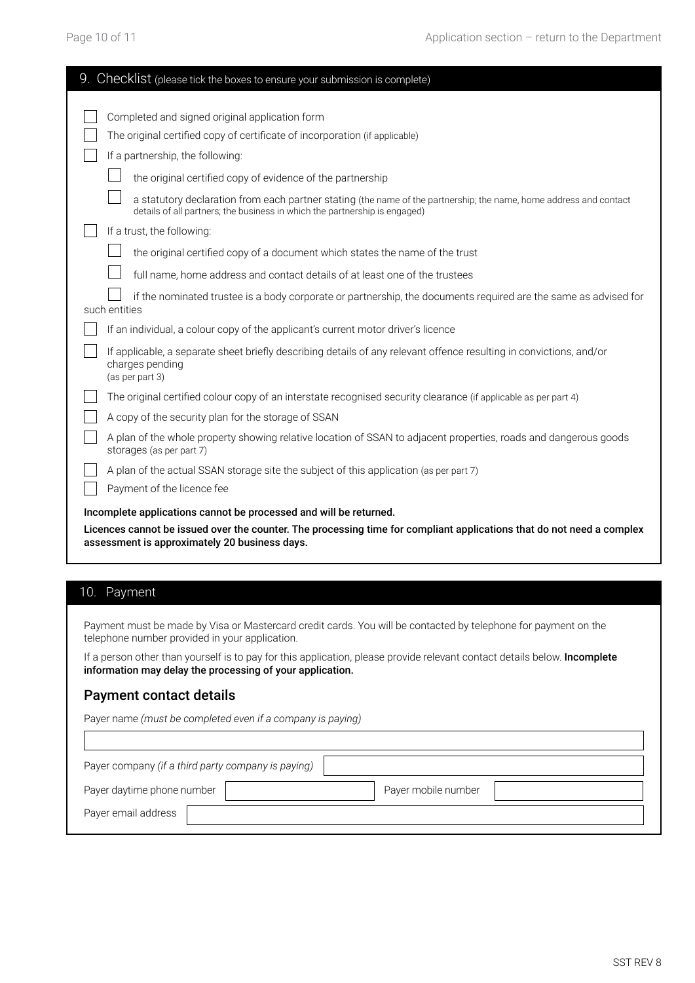| 9. Checklist (please tick the boxes to ensure your submission is complete)                                                                                                                                                                                                                                                                                                                                                          |
|-------------------------------------------------------------------------------------------------------------------------------------------------------------------------------------------------------------------------------------------------------------------------------------------------------------------------------------------------------------------------------------------------------------------------------------|
| Completed and signed original application form<br>The original certified copy of certificate of incorporation (if applicable)<br>If a partnership, the following:<br>the original certified copy of evidence of the partnership<br>a statutory declaration from each partner stating (the name of the partnership; the name, home address and contact<br>details of all partners; the business in which the partnership is engaged) |
| If a trust, the following:                                                                                                                                                                                                                                                                                                                                                                                                          |
| the original certified copy of a document which states the name of the trust                                                                                                                                                                                                                                                                                                                                                        |
| full name, home address and contact details of at least one of the trustees                                                                                                                                                                                                                                                                                                                                                         |
| if the nominated trustee is a body corporate or partnership, the documents required are the same as advised for<br>such entities                                                                                                                                                                                                                                                                                                    |
| If an individual, a colour copy of the applicant's current motor driver's licence                                                                                                                                                                                                                                                                                                                                                   |
| If applicable, a separate sheet briefly describing details of any relevant offence resulting in convictions, and/or<br>charges pending<br>(as per part 3)                                                                                                                                                                                                                                                                           |
| The original certified colour copy of an interstate recognised security clearance (if applicable as per part 4)                                                                                                                                                                                                                                                                                                                     |
| A copy of the security plan for the storage of SSAN                                                                                                                                                                                                                                                                                                                                                                                 |
| A plan of the whole property showing relative location of SSAN to adjacent properties, roads and dangerous goods<br>storages (as per part 7)                                                                                                                                                                                                                                                                                        |
| A plan of the actual SSAN storage site the subject of this application (as per part 7)<br>Payment of the licence fee                                                                                                                                                                                                                                                                                                                |
| Incomplete applications cannot be processed and will be returned.<br>Licences cannot be issued over the counter. The processing time for compliant applications that do not need a complex<br>assessment is approximately 20 business days.                                                                                                                                                                                         |

### 10. Payment

 $\overline{\phantom{a}}$ 

Payment must be made by Visa or Mastercard credit cards. You will be contacted by telephone for payment on the telephone number provided in your application.

If a person other than yourself is to pay for this application, please provide relevant contact details below. Incomplete information may delay the processing of your application.

#### Payment contact details

Payer name *(must be completed even if a company is paying)*

| Payer company (if a third party company is paying) |                     |  |  |  |  |
|----------------------------------------------------|---------------------|--|--|--|--|
| Payer daytime phone number                         | Payer mobile number |  |  |  |  |
| Payer email address                                |                     |  |  |  |  |